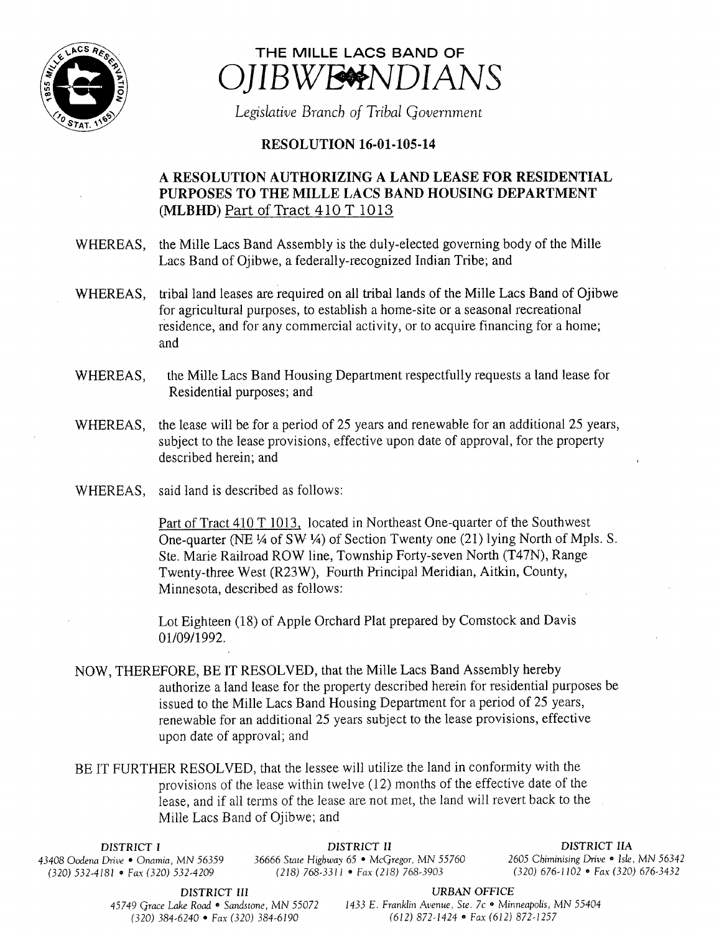



Legislative Branch of Tribal Government

## **RESOLUTION 16-01-105-14**

## A RESOLUTION AUTHORIZING A LAND LEASE FOR RESIDENTIAL PURPOSES TO THE MILLE LACS BAND HOUSING DEPARTMENT MLBHD) Part of Tract 410 T 1013

WHEREAS, the Mille Lacs Band Assembly is the duly-elected governing body of the Mille Lacs Band of Ojibwe, a federally-recognized Indian Tribe; and

- WHEREAS, tribal land leases are required on all tribal lands of the Mille Lacs Band of Ojibwe for agricultural purposes, to establish <sup>a</sup> home- site or a seasonal recreational residence, and for any commercial activity, or to acquire financing for <sup>a</sup> home; and
- WHEREAS, the Mille Lacs Band Housing Department respectfully requests a land lease for Residential purposes; and
- WHEREAS, the lease will be for <sup>a</sup> period of 25 years and renewable for an additional 25 years, subject to the lease provisions, effective upon date of approval, for the property described herein; and
- WHEREAS, said land is described as follows:

Part of Tract 410 T 1013, located in Northeast One-quarter of the Southwest One-quarter (NE <sup>1</sup>/4 of SW <sup>1</sup>/4) of Section Twenty one (21) lying North of Mpls. S. Ste. Marie Railroad ROW line, Township Forty-seven North (T47N), Range Twenty-three West (R23W), Fourth Principal Meridian, Aitkin, County, Minnesota, described as follows:

Lot Eighteen (18) of Apple Orchard Plat prepared by Comstock and Davis 01/09/1992.

NOW, THEREFORE, BE IT RESOLVED, that the Mille Lacs Band Assembly hereby authorize a land lease for the property described herein for residential purposes be issued to the Mille Lacs Band Housing Department for <sup>a</sup> period of 25 years, renewable for an additional 25 years subject to the lease provisions, effective upon date of approval; and

BE IT FURTHER RESOLVED, that the lessee will utilize the land in conformity with the provisions of the lease within twelve ( 12) months of the effective date of the lease, and if all terms of the lease are not met, the land will revert back to the Mille Lacs Band of Ojibwe; and

(320) 532-4181 • Fax(320) 532-4209

DISTRICT I DISTRICT II DISTRICT IIA <sup>43408</sup> Oodena Drive • Onamia, MN 56359 <sup>36666</sup> State Highway 65 • McGregor, MN 55760 <sup>2605</sup> Chiminising Drive • Isle, MN <sup>56342</sup>

DISTRICT III URBAN OFFICE

45749 Grace Lake Road • Sandstone, MN 55072 1433 E. Franklin Avenue, Ste. 7c • Minneapolis, MN 55404 320) 384- 6240 • Fax( 320) 384- 6190 612) 872- 1424 • Fax( 612) 872- 1257